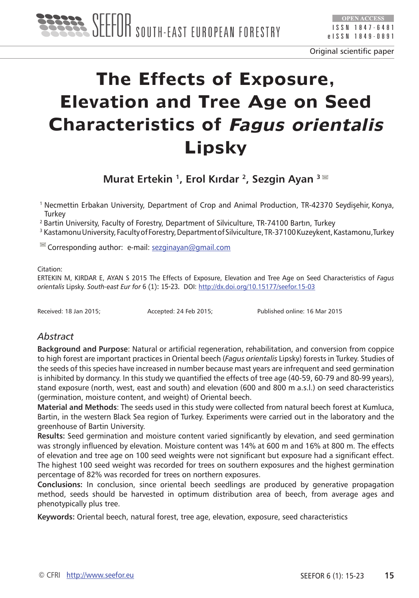

Original scientific paper

# **The Effects of Exposure, Elevation and Tree Age on Seed Characteristics of Fagus orientalis Lipsky**

**Murat Ertekin 1, Erol Kırdar 2, Sezgin Ayan 3** 

<sup>1</sup> Necmettin Erbakan University, Department of Crop and Animal Production, TR-42370 Seydişehir, Konya, **Turkey** 

<sup>2</sup> Bartin University, Faculty of Forestry, Department of Silviculture, TR-74100 Bartın, Turkey

<sup>3</sup> Kastamonu University, Faculty of Forestry, Department of Silviculture, TR-37100 Kuzeykent, Kastamonu, Turkey

 $\leq$  Corresponding author: e-mail: [sezginayan@gmail.com](E:\DIJANA\seefor\magazin\11\ertekin\sezginayan@gmail.com)

Citation:

ERTEKIN M, KIRDAR E, AYAN S 2015 The Effects of Exposure, Elevation and Tree Age on Seed Characteristics of *Fagus orientalis* Lipsky. *South-east Eur for* 6 (1): 15-23. DOI: <http://dx.doi.org/10.15177/seefor.15-03>

Received: 18 Jan 2015; Accepted: 24 Feb 2015; Published online: 16 Mar 2015

## *Abstract*

**Background and Purpose**: Natural or artificial regeneration, rehabilitation, and conversion from coppice to high forest are important practices in Oriental beech (*Fagus orientalis* Lipsky) forests in Turkey. Studies of the seeds of this species have increased in number because mast years are infrequent and seed germination is inhibited by dormancy. In this study we quantified the effects of tree age (40-59, 60-79 and 80-99 years), stand exposure (north, west, east and south) and elevation (600 and 800 m a.s.l.) on seed characteristics (germination, moisture content, and weight) of Oriental beech.

**Material and Methods**: The seeds used in this study were collected from natural beech forest at Kumluca, Bartin, in the western Black Sea region of Turkey. Experiments were carried out in the laboratory and the greenhouse of Bartin University.

**Results:** Seed germination and moisture content varied significantly by elevation, and seed germination was strongly influenced by elevation. Moisture content was 14% at 600 m and 16% at 800 m. The effects of elevation and tree age on 100 seed weights were not significant but exposure had a significant effect. The highest 100 seed weight was recorded for trees on southern exposures and the highest germination percentage of 82% was recorded for trees on northern exposures.

**Conclusions:** In conclusion, since oriental beech seedlings are produced by generative propagation method, seeds should be harvested in optimum distribution area of beech, from average ages and phenotypically plus tree.

**Keywords:** Oriental beech, natural forest, tree age, elevation, exposure, seed characteristics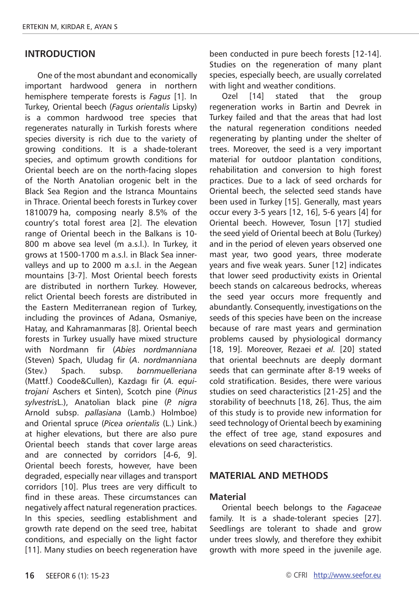### **INTRODUCTION**

One of the most abundant and economically important hardwood genera in northern hemisphere temperate forests is *Fagus* [1]. In Turkey, Oriental beech (*Fagus orientalis* Lipsky) is a common hardwood tree species that regenerates naturally in Turkish forests where species diversity is rich due to the variety of growing conditions. It is a shade-tolerant species, and optimum growth conditions for Oriental beech are on the north-facing slopes of the North Anatolian orogenic belt in the Black Sea Region and the Istranca Mountains in Thrace. Oriental beech forests in Turkey cover 1810079 ha, composing nearly 8.5% of the country's total forest area [2]. The elevation range of Oriental beech in the Balkans is 10- 800 m above sea level (m a.s.l.). In Turkey, it grows at 1500-1700 m a.s.l. in Black Sea innervalleys and up to 2000 m a.s.l. in the Aegean mountains [3-7]. Most Oriental beech forests are distributed in northern Turkey. However, relict Oriental beech forests are distributed in the Eastern Mediterranean region of Turkey, including the provinces of Adana, Osmaniye, Hatay, and Kahramanmaras [8]. Oriental beech forests in Turkey usually have mixed structure with Nordmann fir (*Abies nordmanniana*  (Steven) Spach, Uludag fir (*A*. *nordmanniana* (Stev.) Spach. subsp. *bornmuelleriana* (Mattf.) Coode&Cullen), Kazdagı fir (*A. equitrojani* Aschers et Sinten), Scotch pine (*Pinus sylvestris*L.), Anatolian black pine (*P. nigra*  Arnold subsp. *pallasiana* (Lamb.) Holmboe) and Oriental spruce (*Picea orientalis* (L.) Link.) at higher elevations, but there are also pure Oriental beech stands that cover large areas and are connected by corridors [4-6, 9]. Oriental beech forests, however, have been degraded, especially near villages and transport corridors [10]. Plus trees are very difficult to find in these areas. These circumstances can negatively affect natural regeneration practices. In this species, seedling establishment and growth rate depend on the seed tree, habitat conditions, and especially on the light factor [11]. Many studies on beech regeneration have

been conducted in pure beech forests [12-14]. Studies on the regeneration of many plant species, especially beech, are usually correlated with light and weather conditions.

Ozel [14] stated that the group regeneration works in Bartin and Devrek in Turkey failed and that the areas that had lost the natural regeneration conditions needed regenerating by planting under the shelter of trees. Moreover, the seed is a very important material for outdoor plantation conditions, rehabilitation and conversion to high forest practices. Due to a lack of seed orchards for Oriental beech, the selected seed stands have been used in Turkey [15]. Generally, mast years occur every 3-5 years [12, 16], 5-6 years [4] for Oriental beech. However, Tosun [17] studied the seed yield of Oriental beech at Bolu (Turkey) and in the period of eleven years observed one mast year, two good years, three moderate years and five weak years. Suner [12] indicates that lower seed productivity exists in Oriental beech stands on calcareous bedrocks, whereas the seed year occurs more frequently and abundantly. Consequently, investigations on the seeds of this species have been on the increase because of rare mast years and germination problems caused by physiological dormancy [18, 19]. Moreover, Rezaei *et al.* [20] stated that oriental beechnuts are deeply dormant seeds that can germinate after 8-19 weeks of cold stratification. Besides, there were various studies on seed characteristics [21-25] and the storability of beechnuts [18, 26]. Thus, the aim of this study is to provide new information for seed technology of Oriental beech by examining the effect of tree age, stand exposures and elevations on seed characteristics.

#### **MATERIAL AND METHODS**

#### **Material**

Oriental beech belongs to the *Fagaceae* family. It is a shade-tolerant species [27]. Seedlings are tolerant to shade and grow under trees slowly, and therefore they exhibit growth with more speed in the juvenile age.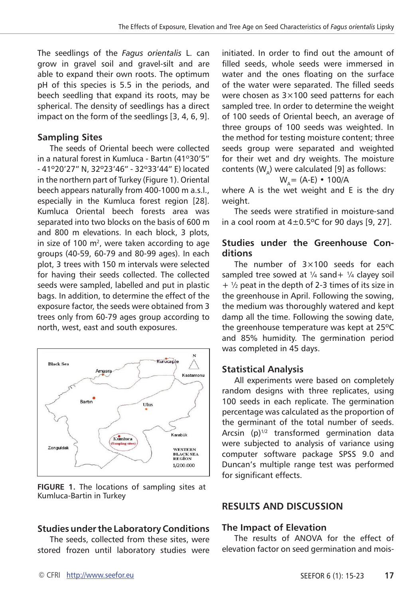The seedlings of the *Fagus orientalis* L. can grow in gravel soil and gravel-silt and are able to expand their own roots. The optimum pH of this species is 5.5 in the periods, and beech seedling that expand its roots, may be spherical. The density of seedlings has a direct impact on the form of the seedlings [3, 4, 6, 9].

## **Sampling Sites**

The seeds of Oriental beech were collected in a natural forest in Kumluca - Bartın (41º30'5" - 41º20'27" N, 32º23'46" - 32º33'44" E) located in the northern part of Turkey (Figure 1). Oriental beech appears naturally from 400-1000 m a.s.l., especially in the Kumluca forest region [28]. Kumluca Oriental beech forests area was separated into two blocks on the basis of 600 m and 800 m elevations. In each block, 3 plots, in size of 100  $m^2$ , were taken according to age groups (40-59, 60-79 and 80-99 ages). In each plot, 3 trees with 150 m intervals were selected for having their seeds collected. The collected seeds were sampled, labelled and put in plastic bags. In addition, to determine the effect of the exposure factor, the seeds were obtained from 3 trees only from 60-79 ages group according to north, west, east and south exposures.



**FIGURE 1.** The locations of sampling sites at Kumluca-Bartin in Turkey

# **Studies under the Laboratory Conditions**

The seeds, collected from these sites, were stored frozen until laboratory studies were

initiated. In order to find out the amount of filled seeds, whole seeds were immersed in water and the ones floating on the surface of the water were separated. The filled seeds were chosen as  $3\times100$  seed patterns for each sampled tree. In order to determine the weight of 100 seeds of Oriental beech, an average of three groups of 100 seeds was weighted. In the method for testing moisture content; three seeds group were separated and weighted for their wet and dry weights. The moisture contents  $(W_4)$  were calculated [9] as follows:

$$
W_A = (A-E) \cdot 100/A
$$

where A is the wet weight and E is the dry weight.

The seeds were stratified in moisture-sand in a cool room at  $4\pm0.5^{\circ}$ C for 90 days [9, 27].

# **Studies under the Greenhouse Conditions**

The number of 3×100 seeds for each sampled tree sowed at  $\frac{1}{4}$  sand +  $\frac{1}{4}$  clayey soil  $+$   $\frac{1}{2}$  peat in the depth of 2-3 times of its size in the greenhouse in April. Following the sowing, the medium was thoroughly watered and kept damp all the time. Following the sowing date, the greenhouse temperature was kept at 25ºC and 85% humidity. The germination period was completed in 45 days.

# **Statistical Analysis**

All experiments were based on completely random designs with three replicates, using 100 seeds in each replicate. The germination percentage was calculated as the proportion of the germinant of the total number of seeds. Arcsin  $(p)^{1/2}$  transformed germination data were subjected to analysis of variance using computer software package SPSS 9.0 and Duncan's multiple range test was performed for significant effects.

# **RESULTS AND DISCUSSION**

## **The Impact of Elevation**

The results of ANOVA for the effect of elevation factor on seed germination and mois-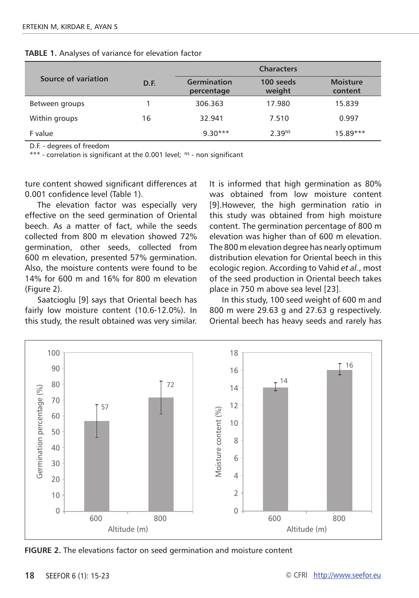|                     |      | <b>Characters</b>         |                     |                            |
|---------------------|------|---------------------------|---------------------|----------------------------|
| Source of variation | D.F. | Germination<br>percentage | 100 seeds<br>weight | <b>Moisture</b><br>content |
| Between groups      |      | 306.363                   | 17.980              | 15.839                     |
| Within groups       | 16   | 32.941                    | 7.510               | 0.997                      |
| F value             |      | $9.30***$                 | 2.39 <sup>NS</sup>  | $15.89***$                 |

**TABLE 1.** Analyses of variance for elevation factor

D.F. - degrees of freedom

\*\*\* - correlation is significant at the 0.001 level; NS - non significant

ture content showed significant differences at 0.001 confidence level (Table 1).

The elevation factor was especially very effective on the seed germination of Oriental beech. As a matter of fact, while the seeds collected from 800 m elevation showed 72% germination, other seeds, collected from 600 m elevation, presented 57% germination. Also, the moisture contents were found to be 14% for 600 m and 16% for 800 m elevation (Figure 2).

Saatcioglu [9] says that Oriental beech has fairly low moisture content (10.6-12.0%). In this study, the result obtained was very similar. It is informed that high germination as 80% was obtained from low moisture content [9].However, the high germination ratio in this study was obtained from high moisture content. The germination percentage of 800 m elevation was higher than of 600 m elevation. The 800 m elevation degree has nearly optimum distribution elevation for Oriental beech in this ecologic region. According to Vahid *et al.*, most of the seed production in Oriental beech takes place in 750 m above sea level [23].

In this study, 100 seed weight of 600 m and 800 m were 29.63 g and 27.63 g respectively. Oriental beech has heavy seeds and rarely has



**FIGURE 2.** The elevations factor on seed germination and moisture content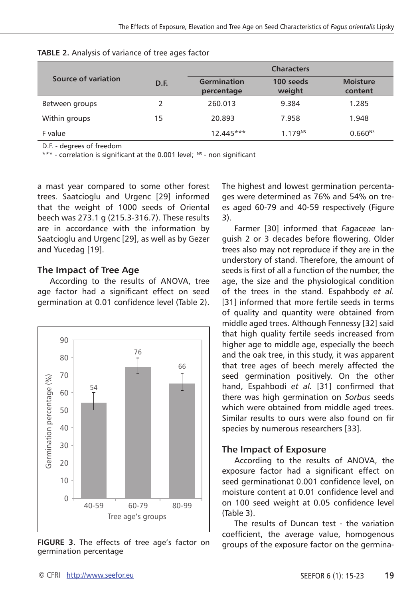|                     |      | <b>Characters</b>         |                     |                            |
|---------------------|------|---------------------------|---------------------|----------------------------|
| Source of variation | D.F. | Germination<br>percentage | 100 seeds<br>weight | <b>Moisture</b><br>content |
| Between groups      | 2    | 260.013                   | 9.384               | 1.285                      |
| Within groups       | 15   | 20.893                    | 7.958               | 1.948                      |
| F value             |      | $12.445***$               | 1.179 <sup>NS</sup> | $0.660^{NS}$               |

D.F. - degrees of freedom

\*\*\* - correlation is significant at the 0.001 level;  $NS -$  non significant

a mast year compared to some other forest trees. Saatcioglu and Urgenc [29] informed that the weight of 1000 seeds of Oriental beech was 273.1 g (215.3-316.7). These results are in accordance with the information by Saatcioglu and Urgenc [29], as well as by Gezer and Yucedag [19].

## **The Impact of Tree Age**

According to the results of ANOVA, tree age factor had a significant effect on seed germination at 0.01 confidence level (Table 2).



**FIGURE 3.** The effects of tree age's factor on germination percentage

The highest and lowest germination percentages were determined as 76% and 54% on trees aged 60-79 and 40-59 respectively (Figure 3).

Farmer [30] informed that *Fagaceae* languish 2 or 3 decades before flowering. Older trees also may not reproduce if they are in the understory of stand. Therefore, the amount of seeds is first of all a function of the number, the age, the size and the physiological condition of the trees in the stand. Espahbody *et al.*  [31] informed that more fertile seeds in terms of quality and quantity were obtained from middle aged trees. Although Fennessy [32] said that high quality fertile seeds increased from higher age to middle age, especially the beech and the oak tree, in this study, it was apparent that tree ages of beech merely affected the seed germination positively. On the other hand, Espahbodi *et al.* [31] confirmed that there was high germination on *Sorbus* seeds which were obtained from middle aged trees. Similar results to ours were also found on fir species by numerous researchers [33].

#### **The Impact of Exposure**

According to the results of ANOVA, the exposure factor had a significant effect on seed germinationat 0.001 confidence level, on moisture content at 0.01 confidence level and on 100 seed weight at 0.05 confidence level (Table 3).

The results of Duncan test - the variation coefficient, the average value, homogenous groups of the exposure factor on the germina-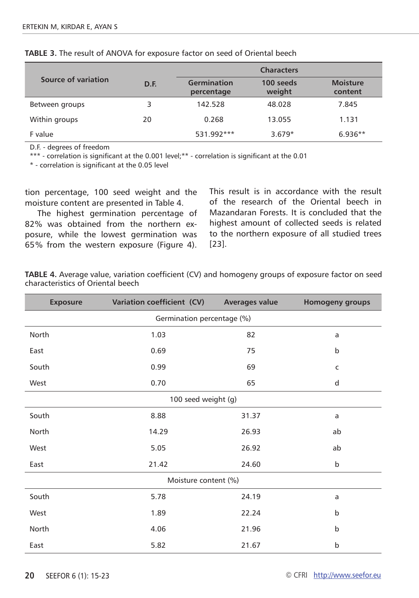|                     |      | <b>Characters</b>         |                     |                            |  |
|---------------------|------|---------------------------|---------------------|----------------------------|--|
| Source of variation | D.F. | Germination<br>percentage | 100 seeds<br>weight | <b>Moisture</b><br>content |  |
| Between groups      | 3    | 142.528                   | 48.028              | 7.845                      |  |
| Within groups       | 20   | 0.268                     | 13.055              | 1.131                      |  |
| F value             |      | 531.992***                | $3.679*$            | $6.936**$                  |  |

**TABLE 3.** The result of ANOVA for exposure factor on seed of Oriental beech

D.F. - degrees of freedom

\*\*\* - correlation is significant at the 0.001 level;\*\* - correlation is significant at the 0.01

\* - correlation is significant at the 0.05 level

tion percentage, 100 seed weight and the moisture content are presented in Table 4.

The highest germination percentage of 82% was obtained from the northern exposure, while the lowest germination was 65% from the western exposure (Figure 4).

This result is in accordance with the result of the research of the Oriental beech in Mazandaran Forests. It is concluded that the highest amount of collected seeds is related to the northern exposure of all studied trees [23].

| TABLE 4. Average value, variation coefficient (CV) and homogeny groups of exposure factor on seed |  |  |
|---------------------------------------------------------------------------------------------------|--|--|
| characteristics of Oriental beech                                                                 |  |  |

| <b>Exposure</b>            | Variation coefficient (CV) | <b>Averages value</b> | Homogeny groups |  |  |
|----------------------------|----------------------------|-----------------------|-----------------|--|--|
| Germination percentage (%) |                            |                       |                 |  |  |
| North                      | 1.03                       | 82                    | a               |  |  |
| East                       | 0.69                       | 75                    | $\mathsf b$     |  |  |
| South                      | 0.99                       | 69                    | $\mathsf{C}$    |  |  |
| West                       | 0.70                       | 65                    | d               |  |  |
| 100 seed weight (g)        |                            |                       |                 |  |  |
| South                      | 8.88                       | 31.37                 | a               |  |  |
| North                      | 14.29                      | 26.93                 | ab              |  |  |
| West                       | 5.05                       | 26.92                 | ab              |  |  |
| East                       | 21.42                      | 24.60                 | $\mathsf{b}$    |  |  |
| Moisture content (%)       |                            |                       |                 |  |  |
| South                      | 5.78                       | 24.19                 | a               |  |  |
| West                       | 1.89                       | 22.24                 | $\mathsf{b}$    |  |  |
| North                      | 4.06                       | 21.96                 | $\mathsf{b}$    |  |  |
| East                       | 5.82                       | 21.67                 | b               |  |  |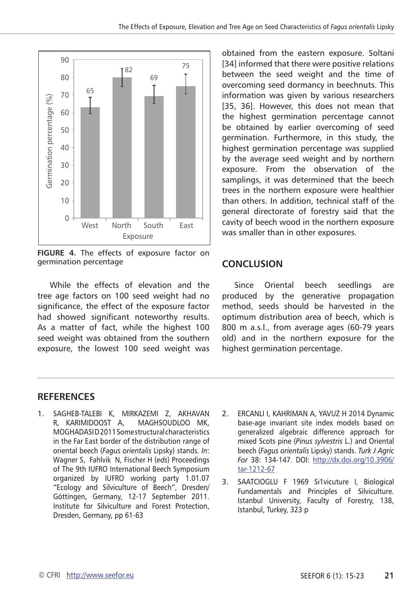

**FIGURE 4.** The effects of exposure factor on germination percentage

While the effects of elevation and the tree age factors on 100 seed weight had no significance, the effect of the exposure factor had showed significant noteworthy results. As a matter of fact, while the highest 100 seed weight was obtained from the southern exposure, the lowest 100 seed weight was

obtained from the eastern exposure. Soltani [34] informed that there were positive relations between the seed weight and the time of overcoming seed dormancy in beechnuts. This information was given by various researchers [35, 36]. However, this does not mean that the highest germination percentage cannot be obtained by earlier overcoming of seed germination. Furthermore, in this study, the highest germination percentage was supplied by the average seed weight and by northern exposure. From the observation of the samplings, it was determined that the beech trees in the northern exposure were healthier than others. In addition, technical staff of the general directorate of forestry said that the cavity of beech wood in the northern exposure was smaller than in other exposures.

# **CONCLUSION**

Since Oriental beech seedlings are produced by the generative propagation method, seeds should be harvested in the optimum distribution area of beech, which is 800 m a.s.l., from average ages (60-79 years old) and in the northern exposure for the highest germination percentage.

#### **RefereNces**

- 1. SAGHEB-TALEBI K, MIRKAZEMI Z, AKHAVAN R, KARIMIDOOST A, MAGHSOUDLOO MK, MOGHADASID 2011 Some structural characteristics in the Far East border of the distribution range of oriental beech (*Fagus orientalis* Lipsky) stands. *In*: Wagner S, Fahlvik N, Fischer H (*eds*) Proceedings of The 9th IUFRO International Beech Symposium organized by IUFRO working party 1.01.07 "Ecology and Silviculture of Beech", Dresden/ Göttingen, Germany, 12-17 September 2011. Institute for Silviculture and Forest Protection, Dresden, Germany, pp 61-63
- 2. ERCANLI I, KAHRIMAN A, YAVUZ H 2014 Dynamic base-age invariant site index models based on generalized algebraic difference approach for mixed Scots pine (*Pinus sylvestris* L.) and Oriental beech (*Fagus orientalis* Lipsky) stands. *Turk J Agric For* 38: 134-147. DOI: [http://dx.doi.org/10.3906/](http://dx.doi.org/10.3906/tar-1212-67) [tar-1212-67](http://dx.doi.org/10.3906/tar-1212-67)
- 3. SAATCIOGLU F 1969 Si1vicuture I, Biological Fundamentals and Principles of Silviculture*.*  Istanbul University, Faculty of Forestry, 138, Istanbul, Turkey, 323 p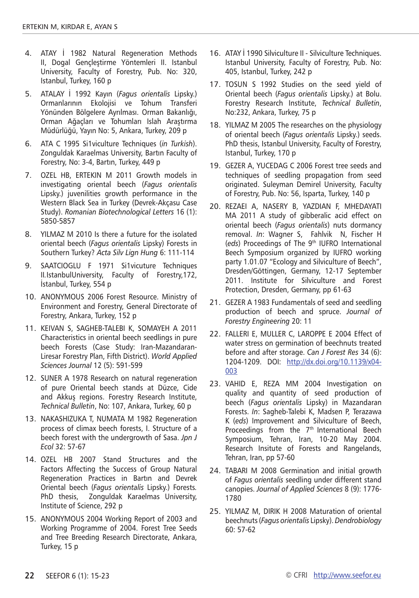- 4. ATAY İ 1982 Natural Regeneration Methods II, Dogal Gençleştirme Yöntemleri II. Istanbul University, Faculty of Forestry, Pub. No: 320, Istanbul, Turkey, 160 p
- 5. ATALAY İ 1992 Kayın (*Fagus orientalis* Lipsky.) Ormanlarının Ekolojisi ve Tohum Transferi Yönünden Bölgelere Ayrılması. Orman Bakanlığı, Orman Ağaçları ve Tohumları Islah Araştırma Müdürlüğü, Yayın No: 5, Ankara, Turkey, 209 p
- 6. ATA C 1995 Si1viculture Techniques (*in Turkish*). Zonguldak Karaelmas University, Bartın Faculty of Forestry, No: 3-4, Bartın, Turkey, 449 p
- 7. OZEL HB, ERTEKIN M 2011 Growth models in investigating oriental beech (*Fagus orientalis*  Lipsky.) juvenilities growth performance in the Western Black Sea in Turkey (Devrek-Akçasu Case Study). *Romanian Biotechnological Letters* 16 (1): 5850-5857
- 8. YILMAZ M 2010 Is there a future for the isolated oriental beech (*Fagus orientalis* Lipsky) Forests in Southern Turkey? *Acta Silv Lign Hung* 6: 111-114
- 9. SAATCIOGLU F 1971 Si1vicuture Techniques II*.*IstanbulUniversity, Faculty of Forestry,172, İstanbul, Turkey, 554 p
- 10. ANONYMOUS 2006 Forest Resource. Ministry of Environment and Forestry, General Directorate of Forestry, Ankara, Turkey, 152 p
- 11. KEIVAN S, SAGHEB-TALEBI K, SOMAYEH A 2011 Characteristics in oriental beech seedlings in pure beech Forests (Case Study: Iran-Mazandaran-Liresar Forestry Plan, Fifth District). *World Applied Sciences Journal* 12 (5): 591-599
- 12. SUNER A 1978 Research on natural regeneration of pure Oriental beech stands at Düzce, Cide and Akkuş regions. Forestry Research Institute, *Technical Bulletin*, No: 107, Ankara, Turkey, 60 p
- 13. NAKASHIZUKA T, NUMATA M 1982 Regeneration process of climax beech forests, I. Structure of a beech forest with the undergrowth of Sasa. *Jpn J Ecol* 32: 57-67
- 14. OZEL HB 2007 Stand Structures and the Factors Affecting the Success of Group Natural Regeneration Practices in Bartın and Devrek Oriental beech (*Fagus orientalis* Lipsky.) Forests*.* PhD thesis, Zonguldak Karaelmas University, Institute of Science, 292 p
- 15. ANONYMOUS 2004 Working Report of 2003 and Working Programme of 2004. Forest Tree Seeds and Tree Breeding Research Directorate, Ankara, Turkey, 15 p
- 16. ATAY İ 1990 Silviculture II Silviculture Techniques. Istanbul University, Faculty of Forestry, Pub. No: 405, Istanbul, Turkey, 242 p
- 17. TOSUN S 1992 Studies on the seed yield of Oriental beech (*Fagus orientalis* Lipsky.) at Bolu. Forestry Research Institute, *Technical Bulletin*, No:232, Ankara, Turkey, 75 p
- 18. YILMAZ M 2005 The researches on the physiology of oriental beech (*Fagus orientalis* Lipsky.) seeds. PhD thesis, Istanbul University, Faculty of Forestry, Istanbul, Turkey, 170 p
- 19. GEZER A, YUCEDAG C 2006 Forest tree seeds and techniques of seedling propagation from seed originated. Suleyman Demirel University, Faculty of Forestry, Pub. No: 56, Isparta, Turkey, 140 p
- 20. REZAEI A, NASERY B, YAZDIAN F, MHEDAYATI MA 2011 A study of gibberalic acid effect on oriental beech (*Fagus orientalis*) nuts dormancy removal. *In*: Wagner S, Fahlvik N, Fischer H (eds) Proceedings of The 9<sup>th</sup> IUFRO International Beech Symposium organized by IUFRO working party 1.01.07 "Ecology and Silviculture of Beech", Dresden/Göttingen, Germany, 12-17 September 2011. Institute for Silviculture and Forest Protection, Dresden, Germany, pp 61-63
- 21. GEZER A 1983 Fundamentals of seed and seedling production of beech and spruce. *Journal of Forestry Engineering* 20: 11
- 22. FALLERI E, MULLER C, LAROPPE E 2004 Effect of water stress on germination of beechnuts treated before and after storage. *Can J Forest Res* 34 (6): 1204-1209. DOI: [http://dx.doi.org/10.1139/x04-](http://dx.doi.org/10.1139/x04-003) [003](http://dx.doi.org/10.1139/x04-003)
- 23. VAHID E, REZA MM 2004 Investigation on quality and quantity of seed production of beech (*Fagus orientalis* Lipsky) in Mazandaran Forests. *In*: Sagheb-Talebi K, Madsen P, Terazawa K (*eds*) Improvement and Silviculture of Beech, Proceedings from the 7<sup>th</sup> International Beech Symposium, Tehran, Iran, 10-20 May 2004. Research Insitute of Forests and Rangelands, Tehran, Iran, pp 57-60
- 24. TABARI M 2008 Germination and initial growth of *Fagus orientalis* seedling under different stand canopies. *Journal of Applied Sciences* 8 (9): 1776- 1780
- 25. YILMAZ M, DIRIK H 2008 Maturation of oriental beechnuts (*Fagus orientalis* Lipsky). *Dendrobiology*  60: 57-62